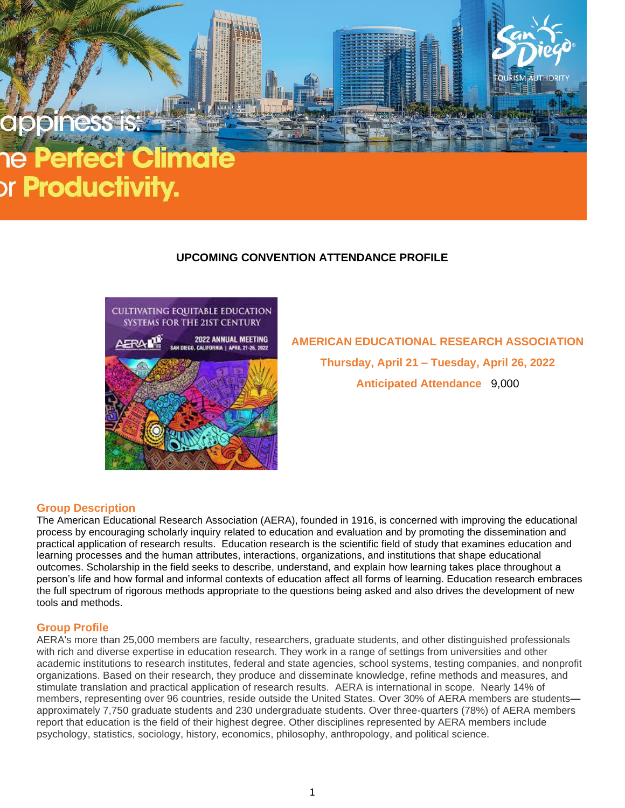# or **Productivity.**

# **UPCOMING CONVENTION ATTENDANCE PROFILE**



**AMERICAN EDUCATIONAL RESEARCH ASSOCIATION Thursday, April 21 – Tuesday, April 26, 2022 Anticipated Attendance** 9,000

### **Group Description**

The American Educational Research Association (AERA), founded in 1916, is concerned with improving the educational process by encouraging scholarly inquiry related to education and evaluation and by promoting the dissemination and practical application of research results. Education research is the scientific field of study that examines education and learning processes and the human attributes, interactions, organizations, and institutions that shape educational outcomes. Scholarship in the field seeks to describe, understand, and explain how learning takes place throughout a person's life and how formal and informal contexts of education affect all forms of learning. Education research embraces the full spectrum of rigorous methods appropriate to the questions being asked and also drives the development of new tools and methods.

#### **Group Profile**

AERA's more than 25,000 members are faculty, researchers, graduate students, and other distinguished professionals with rich and diverse expertise in education research. They work in a range of settings from universities and other academic institutions to research institutes, federal and state agencies, school systems, testing companies, and nonprofit organizations. Based on their research, they produce and disseminate knowledge, refine methods and measures, and stimulate translation and practical application of research results. AERA is international in scope. Nearly 14% of members, representing over 96 countries, reside outside the United States. Over 30% of AERA members are students approximately 7,750 graduate students and 230 undergraduate students. Over three-quarters (78%) of AERA members report that education is the field of their highest degree. Other disciplines represented by AERA members include psychology, statistics, sociology, history, economics, philosophy, anthropology, and political science.